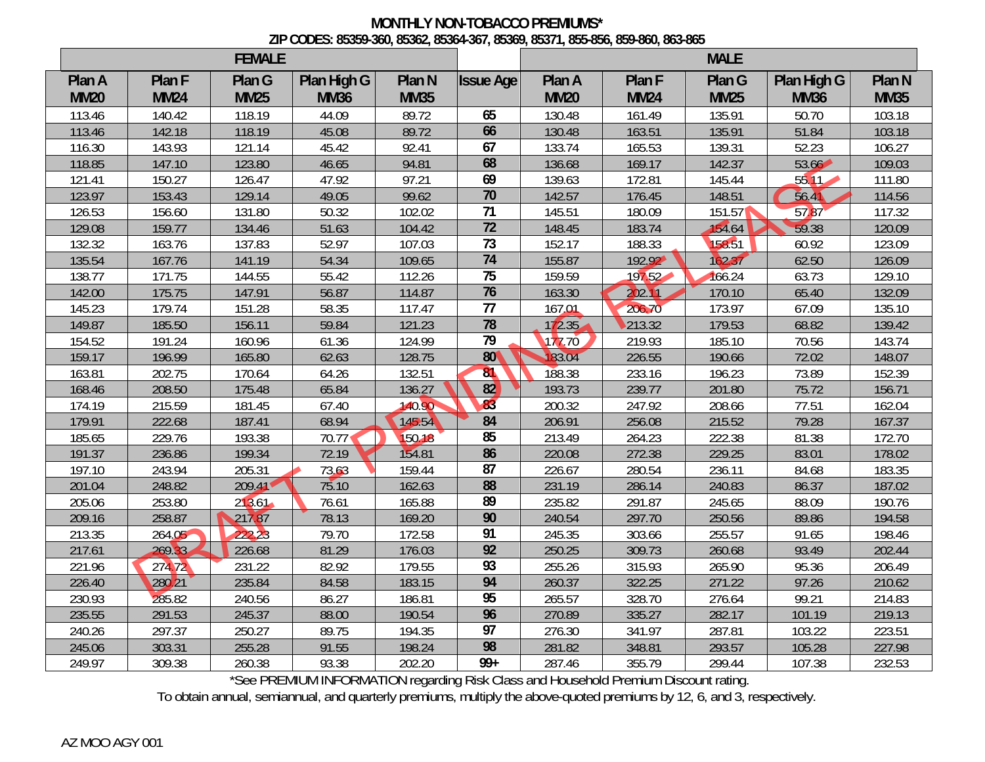## **MONTHLY NON-TOBACCO PREMIUMS\* ZIP CODES: 85359-360, 85362, 85364-367, 85369, 85371, 855-856, 859-860, 863-865**

| <b>FEMALE</b> |             |             |             |             |                  | <b>MALE</b> |             |             |             |                   |
|---------------|-------------|-------------|-------------|-------------|------------------|-------------|-------------|-------------|-------------|-------------------|
| Plan A        | Plan F      | Plan G      | Plan High G | Plan N      | <b>Issue Age</b> | Plan A      | Plan F      | Plan G      | Plan High G | Plan <sub>N</sub> |
| <b>MM20</b>   | <b>MM24</b> | <b>MM25</b> | <b>MM36</b> | <b>MM35</b> |                  | <b>MM20</b> | <b>MM24</b> | <b>MM25</b> | <b>MM36</b> | <b>MM35</b>       |
| 113.46        | 140.42      | 118.19      | 44.09       | 89.72       | 65               | 130.48      | 161.49      | 135.91      | 50.70       | 103.18            |
| 113.46        | 142.18      | 118.19      | 45.08       | 89.72       | 66               | 130.48      | 163.51      | 135.91      | 51.84       | 103.18            |
| 116.30        | 143.93      | 121.14      | 45.42       | 92.41       | 67               | 133.74      | 165.53      | 139.31      | 52.23       | 106.27            |
| 118.85        | 147.10      | 123.80      | 46.65       | 94.81       | 68               | 136.68      | 169.17      | 142.37      | 53.66       | 109.03            |
| 121.41        | 150.27      | 126.47      | 47.92       | 97.21       | 69               | 139.63      | 172.81      | 145.44      | 55.11       | 111.80            |
| 123.97        | 153.43      | 129.14      | 49.05       | 99.62       | 70               | 142.57      | 176.45      | 148.51      | 56.41       | 114.56            |
| 126.53        | 156.60      | 131.80      | 50.32       | 102.02      | 71               | 145.51      | 180.09      | 151.57      | 57.87       | 117.32            |
| 129.08        | 159.77      | 134.46      | 51.63       | 104.42      | $\overline{72}$  | 148.45      | 183.74      | 154.64      | 59.38       | 120.09            |
| 132.32        | 163.76      | 137.83      | 52.97       | 107.03      | 73               | 152.17      | 188.33      | 158.51      | 60.92       | 123.09            |
| 135.54        | 167.76      | 141.19      | 54.34       | 109.65      | 74               | 155.87      | 192.92      | 162.37      | 62.50       | 126.09            |
| 138.77        | 171.75      | 144.55      | 55.42       | 112.26      | 75               | 159.59      | 197.52      | 166.24      | 63.73       | 129.10            |
| 142.00        | 175.75      | 147.91      | 56.87       | 114.87      | 76               | 163.30      | 202.11      | 170.10      | 65.40       | 132.09            |
| 145.23        | 179.74      | 151.28      | 58.35       | 117.47      | $\overline{77}$  | 167.01      | 206.70      | 173.97      | 67.09       | 135.10            |
| 149.87        | 185.50      | 156.11      | 59.84       | 121.23      | 78               | 172.35      | 213.32      | 179.53      | 68.82       | 139.42            |
| 154.52        | 191.24      | 160.96      | 61.36       | 124.99      | 79               | 177.70      | 219.93      | 185.10      | 70.56       | 143.74            |
| 159.17        | 196.99      | 165.80      | 62.63       | 128.75      | 80 <sup>°</sup>  | 83.04       | 226.55      | 190.66      | 72.02       | 148.07            |
| 163.81        | 202.75      | 170.64      | 64.26       | 132.51      | 81               | 188.38      | 233.16      | 196.23      | 73.89       | 152.39            |
| 168.46        | 208.50      | 175.48      | 65.84       | 136.27      | 82               | 193.73      | 239.77      | 201.80      | 75.72       | 156.71            |
| 174.19        | 215.59      | 181.45      | 67.40       | 140.90      | 83               | 200.32      | 247.92      | 208.66      | 77.51       | 162.04            |
| 179.91        | 222.68      | 187.41      | 68.94       | 145.54      | 84               | 206.91      | 256.08      | 215.52      | 79.28       | 167.37            |
| 185.65        | 229.76      | 193.38      | 70.77       | 150.18      | 85               | 213.49      | 264.23      | 222.38      | 81.38       | 172.70            |
| 191.37        | 236.86      | 199.34      | 72.19       | 154.81      | 86               | 220.08      | 272.38      | 229.25      | 83.01       | 178.02            |
| 197.10        | 243.94      | 205.31      | 73.63       | 159.44      | 87               | 226.67      | 280.54      | 236.11      | 84.68       | 183.35            |
| 201.04        | 248.82      | 209.41      | 75.10       | 162.63      | 88               | 231.19      | 286.14      | 240.83      | 86.37       | 187.02            |
| 205.06        | 253.80      | 213.61      | 76.61       | 165.88      | 89               | 235.82      | 291.87      | 245.65      | 88.09       | 190.76            |
| 209.16        | 258.87      | 21787       | 78.13       | 169.20      | 90               | 240.54      | 297.70      | 250.56      | 89.86       | 194.58            |
| 213.35        | 264.05      | 222.23      | 79.70       | 172.58      | 91               | 245.35      | 303.66      | 255.57      | 91.65       | 198.46            |
| 217.61        | 269.33      | 226.68      | 81.29       | 176.03      | 92               | 250.25      | 309.73      | 260.68      | 93.49       | 202.44            |
| 221.96        | 274.72      | 231.22      | 82.92       | 179.55      | 93               | 255.26      | 315.93      | 265.90      | 95.36       | 206.49            |
| 226.40        | 280.21      | 235.84      | 84.58       | 183.15      | 94               | 260.37      | 322.25      | 271.22      | 97.26       | 210.62            |
| 230.93        | 285.82      | 240.56      | 86.27       | 186.81      | 95               | 265.57      | 328.70      | 276.64      | 99.21       | 214.83            |
| 235.55        | 291.53      | 245.37      | 88.00       | 190.54      | 96               | 270.89      | 335.27      | 282.17      | 101.19      | 219.13            |
| 240.26        | 297.37      | 250.27      | 89.75       | 194.35      | $\overline{97}$  | 276.30      | 341.97      | 287.81      | 103.22      | 223.51            |
| 245.06        | 303.31      | 255.28      | 91.55       | 198.24      | 98               | 281.82      | 348.81      | 293.57      | 105.28      | 227.98            |
| 249.97        | 309.38      | 260.38      | 93.38       | 202.20      | $99+$            | 287.46      | 355.79      | 299.44      | 107.38      | 232.53            |

\*See PREMIUM INFORMATION regarding Risk Class and Household Premium Discount rating.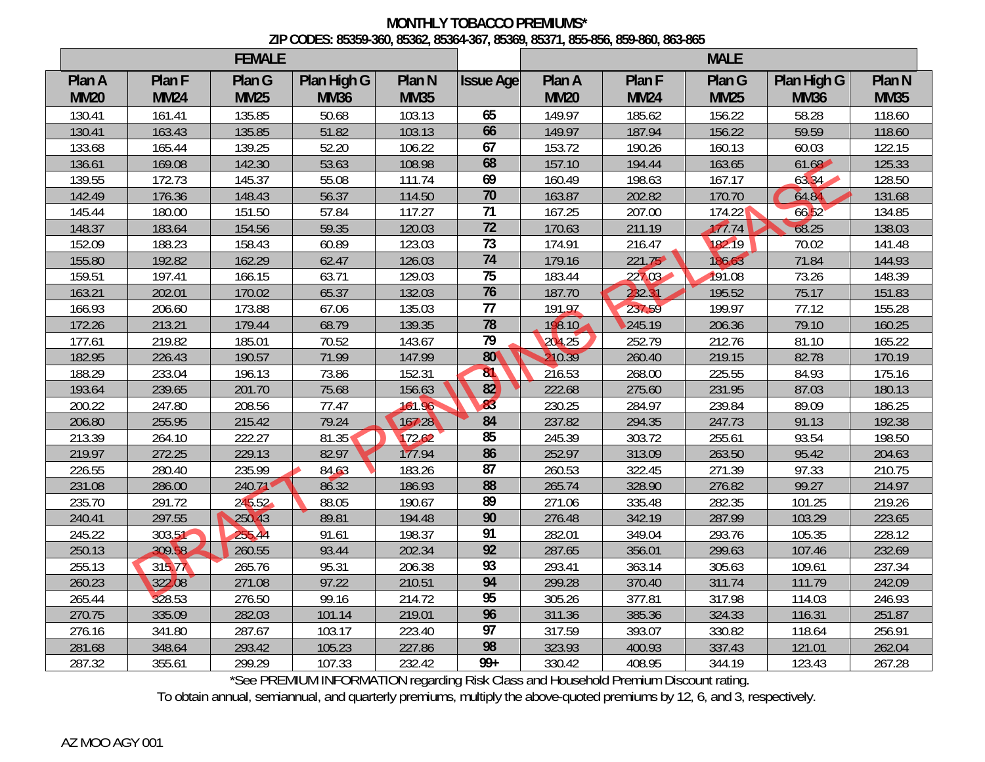## **MONTHLY TOBACCO PREMIUMS\* ZIP CODES: 85359-360, 85362, 85364-367, 85369, 85371, 855-856, 859-860, 863-865**

| <b>FEMALE</b> |             |             |             |             |                  | <b>MALE</b> |             |             |             |             |
|---------------|-------------|-------------|-------------|-------------|------------------|-------------|-------------|-------------|-------------|-------------|
| Plan A        | Plan F      | Plan G      | Plan High G | Plan N      | <b>Issue Age</b> | Plan A      | Plan F      | Plan G      | Plan High G | Plan N      |
| <b>MM20</b>   | <b>MM24</b> | <b>MM25</b> | <b>MM36</b> | <b>MM35</b> |                  | <b>MM20</b> | <b>MM24</b> | <b>MM25</b> | <b>MM36</b> | <b>MM35</b> |
| 130.41        | 161.41      | 135.85      | 50.68       | 103.13      | 65               | 149.97      | 185.62      | 156.22      | 58.28       | 118.60      |
| 130.41        | 163.43      | 135.85      | 51.82       | 103.13      | 66               | 149.97      | 187.94      | 156.22      | 59.59       | 118.60      |
| 133.68        | 165.44      | 139.25      | 52.20       | 106.22      | 67               | 153.72      | 190.26      | 160.13      | 60.03       | 122.15      |
| 136.61        | 169.08      | 142.30      | 53.63       | 108.98      | 68               | 157.10      | 194.44      | 163.65      | 61.68       | 125.33      |
| 139.55        | 172.73      | 145.37      | 55.08       | 111.74      | 69               | 160.49      | 198.63      | 167.17      | 63.34       | 128.50      |
| 142.49        | 176.36      | 148.43      | 56.37       | 114.50      | $\overline{70}$  | 163.87      | 202.82      | 170.70      | 64.84       | 131.68      |
| 145.44        | 180.00      | 151.50      | 57.84       | 117.27      | 71               | 167.25      | 207.00      | 174.22      | 6652        | 134.85      |
| 148.37        | 183.64      | 154.56      | 59.35       | 120.03      | $\overline{72}$  | 170.63      | 211.19      | 17774       | 68.25       | 138.03      |
| 152.09        | 188.23      | 158.43      | 60.89       | 123.03      | 73               | 174.91      | 216.47      | 182.19      | 70.02       | 141.48      |
| 155.80        | 192.82      | 162.29      | 62.47       | 126.03      | 74               | 179.16      | 221.75      | 186.63      | 71.84       | 144.93      |
| 159.51        | 197.41      | 166.15      | 63.71       | 129.03      | 75               | 183.44      | 227.03      | 191.08      | 73.26       | 148.39      |
| 163.21        | 202.01      | 170.02      | 65.37       | 132.03      | 76               | 187.70      | 232.31      | 195.52      | 75.17       | 151.83      |
| 166.93        | 206.60      | 173.88      | 67.06       | 135.03      | 77               | 191.97      | 237.59      | 199.97      | 77.12       | 155.28      |
| 172.26        | 213.21      | 179.44      | 68.79       | 139.35      | 78               | 198.10      | 245.19      | 206.36      | 79.10       | 160.25      |
| 177.61        | 219.82      | 185.01      | 70.52       | 143.67      | 79               | 204.25      | 252.79      | 212.76      | 81.10       | 165.22      |
| 182.95        | 226.43      | 190.57      | 71.99       | 147.99      | 80 <sup>°</sup>  | 210.39      | 260.40      | 219.15      | 82.78       | 170.19      |
| 188.29        | 233.04      | 196.13      | 73.86       | 152.31      | 81               | 216.53      | 268.00      | 225.55      | 84.93       | 175.16      |
| 193.64        | 239.65      | 201.70      | 75.68       | 156.63      | 82               | 222.68      | 275.60      | 231.95      | 87.03       | 180.13      |
| 200.22        | 247.80      | 208.56      | 77.47       | 161.96      | 83               | 230.25      | 284.97      | 239.84      | 89.09       | 186.25      |
| 206.80        | 255.95      | 215.42      | 79.24       | 167.28      | 84               | 237.82      | 294.35      | 247.73      | 91.13       | 192.38      |
| 213.39        | 264.10      | 222.27      | 81.35       | 172.62      | 85               | 245.39      | 303.72      | 255.61      | 93.54       | 198.50      |
| 219.97        | 272.25      | 229.13      | 82.97       | 177.94      | 86               | 252.97      | 313.09      | 263.50      | 95.42       | 204.63      |
| 226.55        | 280.40      | 235.99      | 84.63       | 183.26      | $\overline{87}$  | 260.53      | 322.45      | 271.39      | 97.33       | 210.75      |
| 231.08        | 286.00      | 240.71      | 86.32       | 186.93      | 88               | 265.74      | 328.90      | 276.82      | 99.27       | 214.97      |
| 235.70        | 291.72      | 245.52      | 88.05       | 190.67      | 89               | 271.06      | 335.48      | 282.35      | 101.25      | 219.26      |
| 240.41        | 297.55      | 250.43      | 89.81       | 194.48      | 90               | 276.48      | 342.19      | 287.99      | 103.29      | 223.65      |
| 245.22        | 303.51      | 255.44      | 91.61       | 198.37      | 91               | 282.01      | 349.04      | 293.76      | 105.35      | 228.12      |
| 250.13        | 309.58      | 260.55      | 93.44       | 202.34      | 92               | 287.65      | 356.01      | 299.63      | 107.46      | 232.69      |
| 255.13        | 315.77      | 265.76      | 95.31       | 206.38      | 93               | 293.41      | 363.14      | 305.63      | 109.61      | 237.34      |
| 260.23        | 322.08      | 271.08      | 97.22       | 210.51      | 94               | 299.28      | 370.40      | 311.74      | 111.79      | 242.09      |
| 265.44        | 328.53      | 276.50      | 99.16       | 214.72      | 95               | 305.26      | 377.81      | 317.98      | 114.03      | 246.93      |
| 270.75        | 335.09      | 282.03      | 101.14      | 219.01      | 96               | 311.36      | 385.36      | 324.33      | 116.31      | 251.87      |
| 276.16        | 341.80      | 287.67      | 103.17      | 223.40      | $\overline{97}$  | 317.59      | 393.07      | 330.82      | 118.64      | 256.91      |
| 281.68        | 348.64      | 293.42      | 105.23      | 227.86      | 98               | 323.93      | 400.93      | 337.43      | 121.01      | 262.04      |
| 287.32        | 355.61      | 299.29      | 107.33      | 232.42      | $99+$            | 330.42      | 408.95      | 344.19      | 123.43      | 267.28      |

\*See PREMIUM INFORMATION regarding Risk Class and Household Premium Discount rating.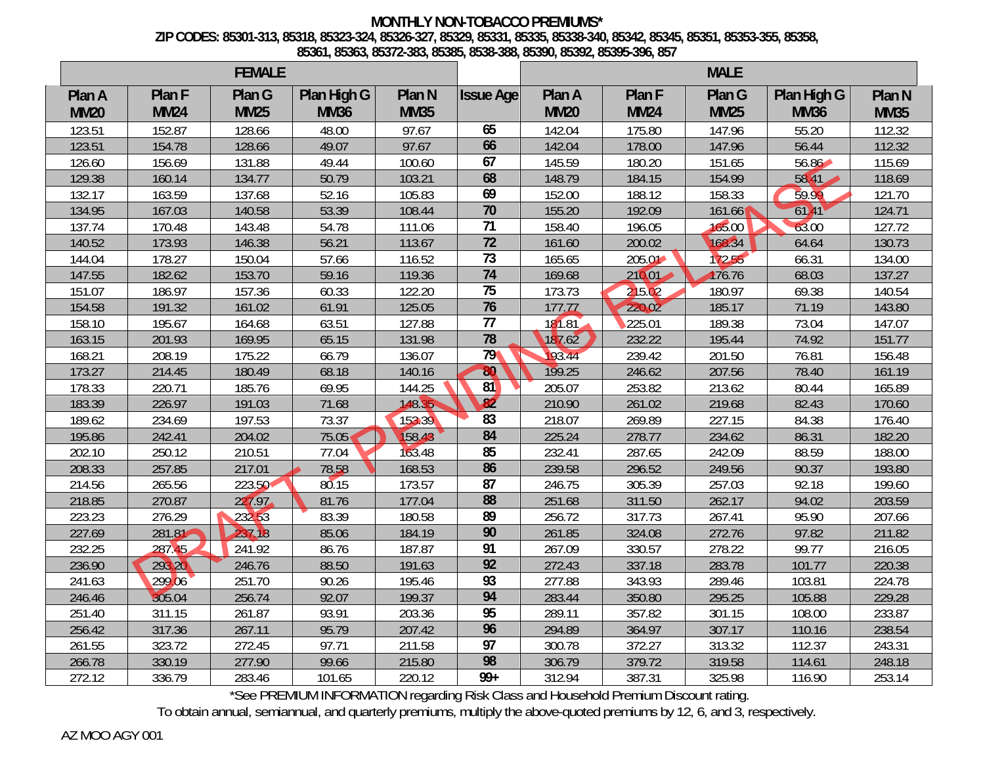## **MONTHLY NON-TOBACCO PREMIUMS\* ZIP CODES: 85301-313, 85318, 85323-324, 85326-327, 85329, 85331, 85335, 85338-340, 85342, 85345, 85351, 85353-355, 85358, 85361, 85363, 85372-383, 85385, 8538-388, 85390, 85392, 85395-396, 857**

| <b>FEMALE</b> |             |             |             |             |                  | <b>MALE</b> |             |             |             |             |
|---------------|-------------|-------------|-------------|-------------|------------------|-------------|-------------|-------------|-------------|-------------|
| Plan A        | Plan F      | Plan G      | Plan High G | Plan N      | <b>Issue Age</b> | Plan A      | Plan F      | Plan G      | Plan High G | Plan N      |
| <b>MM20</b>   | <b>MM24</b> | <b>MM25</b> | <b>MM36</b> | <b>MM35</b> |                  | <b>MM20</b> | <b>MM24</b> | <b>MM25</b> | <b>MM36</b> | <b>MM35</b> |
| 123.51        | 152.87      | 128.66      | 48.00       | 97.67       | 65               | 142.04      | 175.80      | 147.96      | 55.20       | 112.32      |
| 123.51        | 154.78      | 128.66      | 49.07       | 97.67       | 66               | 142.04      | 178.00      | 147.96      | 56.44       | 112.32      |
| 126.60        | 156.69      | 131.88      | 49.44       | 100.60      | 67               | 145.59      | 180.20      | 151.65      | $56.86 -$   | 115.69      |
| 129.38        | 160.14      | 134.77      | 50.79       | 103.21      | 68               | 148.79      | 184.15      | 154.99      | 58.41       | 118.69      |
| 132.17        | 163.59      | 137.68      | 52.16       | 105.83      | 69               | 152.00      | 188.12      | 158.33      | 59.99       | 121.70      |
| 134.95        | 167.03      | 140.58      | 53.39       | 108.44      | $\overline{70}$  | 155.20      | 192.09      | 161.66      | 6141        | 124.71      |
| 137.74        | 170.48      | 143.48      | 54.78       | 111.06      | $\overline{71}$  | 158.40      | 196.05      | 165.00      | 63.00       | 127.72      |
| 140.52        | 173.93      | 146.38      | 56.21       | 113.67      | $\overline{72}$  | 161.60      | 200.02      | 168.34      | 64.64       | 130.73      |
| 144.04        | 178.27      | 150.04      | 57.66       | 116.52      | $\overline{73}$  | 165.65      | 205.01      | 172.55      | 66.31       | 134.00      |
| 147.55        | 182.62      | 153.70      | 59.16       | 119.36      | $\overline{74}$  | 169.68      | $210.01 -$  | 176.76      | 68.03       | 137.27      |
| 151.07        | 186.97      | 157.36      | 60.33       | 122.20      | $\overline{75}$  | 173.73      | 215.02      | 180.97      | 69.38       | 140.54      |
| 154.58        | 191.32      | 161.02      | 61.91       | 125.05      | 76               | 177.77      | 220.02      | 185.17      | 71.19       | 143.80      |
| 158.10        | 195.67      | 164.68      | 63.51       | 127.88      | $\overline{77}$  | 181.81      | 225.01      | 189.38      | 73.04       | 147.07      |
| 163.15        | 201.93      | 169.95      | 65.15       | 131.98      | 78               | 187.62      | 232.22      | 195.44      | 74.92       | 151.77      |
| 168.21        | 208.19      | 175.22      | 66.79       | 136.07      | 79               | 193.44      | 239.42      | 201.50      | 76.81       | 156.48      |
| 173.27        | 214.45      | 180.49      | 68.18       | 140.16      | 80               | 199.25      | 246.62      | 207.56      | 78.40       | 161.19      |
| 178.33        | 220.71      | 185.76      | 69.95       | 144.25      | 81               | 205.07      | 253.82      | 213.62      | 80.44       | 165.89      |
| 183.39        | 226.97      | 191.03      | 71.68       | 148.35      | $\frac{8}{2}$    | 210.90      | 261.02      | 219.68      | 82.43       | 170.60      |
| 189.62        | 234.69      | 197.53      | 73.37       | 153.39      | $\overline{83}$  | 218.07      | 269.89      | 227.15      | 84.38       | 176.40      |
| 195.86        | 242.41      | 204.02      | 75.05       | 158.43      | 84               | 225.24      | 278.77      | 234.62      | 86.31       | 182.20      |
| 202.10        | 250.12      | 210.51      | 77.04       | 163.48      | 85               | 232.41      | 287.65      | 242.09      | 88.59       | 188.00      |
| 208.33        | 257.85      | 217.01      | 78.58       | 168.53      | 86               | 239.58      | 296.52      | 249.56      | 90.37       | 193.80      |
| 214.56        | 265.56      | 223.50      | 80.15       | 173.57      | 87               | 246.75      | 305.39      | 257.03      | 92.18       | 199.60      |
| 218.85        | 270.87      | 227.97      | 81.76       | 177.04      | 88               | 251.68      | 311.50      | 262.17      | 94.02       | 203.59      |
| 223.23        | 276.29      | 232.53      | 83.39       | 180.58      | 89               | 256.72      | 317.73      | 267.41      | 95.90       | 207.66      |
| 227.69        | 281.81      | 237.18      | 85.06       | 184.19      | 90               | 261.85      | 324.08      | 272.76      | 97.82       | 211.82      |
| 232.25        | 287.45      | 241.92      | 86.76       | 187.87      | 91               | 267.09      | 330.57      | 278.22      | 99.77       | 216.05      |
| 236.90        | 293.20      | 246.76      | 88.50       | 191.63      | 92               | 272.43      | 337.18      | 283.78      | 101.77      | 220.38      |
| 241.63        | 299.06      | 251.70      | 90.26       | 195.46      | 93               | 277.88      | 343.93      | 289.46      | 103.81      | 224.78      |
| 246.46        | 305.04      | 256.74      | 92.07       | 199.37      | 94               | 283.44      | 350.80      | 295.25      | 105.88      | 229.28      |
| 251.40        | 311.15      | 261.87      | 93.91       | 203.36      | 95               | 289.11      | 357.82      | 301.15      | 108.00      | 233.87      |
| 256.42        | 317.36      | 267.11      | 95.79       | 207.42      | 96               | 294.89      | 364.97      | 307.17      | 110.16      | 238.54      |
| 261.55        | 323.72      | 272.45      | 97.71       | 211.58      | 97               | 300.78      | 372.27      | 313.32      | 112.37      | 243.31      |
| 266.78        | 330.19      | 277.90      | 99.66       | 215.80      | 98               | 306.79      | 379.72      | 319.58      | 114.61      | 248.18      |
| 272.12        | 336.79      | 283.46      | 101.65      | 220.12      | $99+$            | 312.94      | 387.31      | 325.98      | 116.90      | 253.14      |

\*See PREMIUM INFORMATION regarding Risk Class and Household Premium Discount rating.